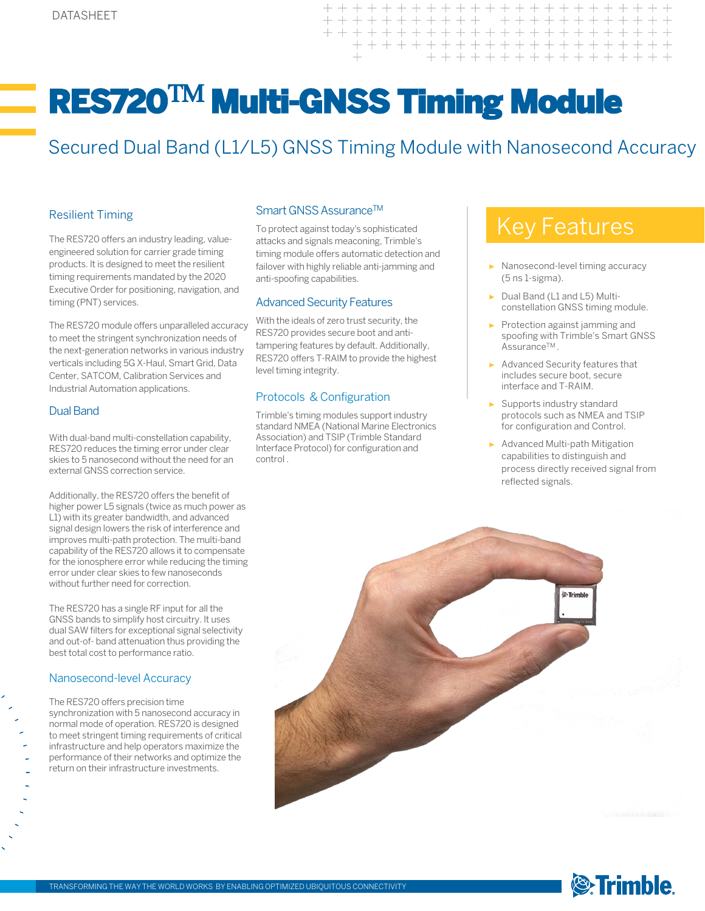# **RES720TM Multi-GNSS Timing Module**

### Secured Dual Band (L1/L5) GNSS Timing Module with Nanosecond Accuracy

### Resilient Timing

The RES720 offers an industry leading, valueengineered solution for carrier grade timing products. It is designed to meet the resilient timing requirements mandated by the 2020 Executive Order for positioning, navigation, and timing (PNT) services.

The RES720 module offers unparalleled accuracy to meet the stringent synchronization needs of the next-generation networks in various industry verticals including 5G X-Haul, Smart Grid, Data Center, SATCOM, Calibration Services and Industrial Automation applications.

#### Dual Band

With dual-band multi-constellation capability, RES720 reduces the timing error under clear skies to 5 nanosecond without the need for an external GNSS correction service.

Additionally, the RES720 offers the benefit of higher power L5 signals (twice as much power as L1) with its greater bandwidth, and advanced signal design lowers the risk of interference and improves multi-path protection. The multi-band capability of the RES720 allows it to compensate for the ionosphere error while reducing the timing error under clear skies to few nanoseconds without further need for correction.

The RES720 has a single RF input for all the GNSS bands to simplify host circuitry. It uses dual SAW filters for exceptional signal selectivity and out-of- band attenuation thus providing the best total cost to performance ratio.

#### Nanosecond-level Accuracy

The RES720 offers precision time synchronization with 5 nanosecond accuracy in normal mode of operation. RES720 is designed to meet stringent timing requirements of critical infrastructure and help operators maximize the performance of their networks and optimize the return on their infrastructure investments.

#### Smart GNSS Assurance<sup>™</sup>

To protect against today's sophisticated attacks and signals meaconing, Trimble's timing module offers automatic detection and failover with highly reliable anti-jamming and anti-spoofing capabilities.

#### Advanced Security Features

With the ideals of zero trust security, the RES720 provides secure boot and antitampering features by default. Additionally, RES720 offers T-RAIM to provide the highest level timing integrity.

#### Protocols & Configuration

Trimble's timing modules support industry standard NMEA (National Marine Electronics Association) and TSIP (Trimble Standard Interface Protocol) for configuration and control .

## Key Features

- ► Nanosecond-level timing accuracy (5 ns 1-sigma).
- ► Dual Band (L1 and L5) Multiconstellation GNSS timing module.
- ► Protection against jamming and spoofing with Trimble's Smart GNSS Assurance™.
- Advanced Security features that includes secure boot, secure interface and T-RAIM.
- ► Supports industry standard protocols such as NMEA and TSIP for configuration and Control.
- ► Advanced Multi-path Mitigation capabilities to distinguish and process directly received signal from reflected signals.